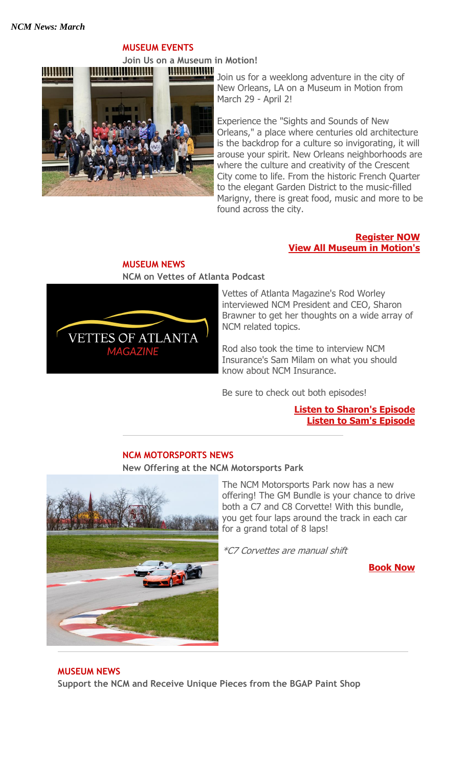# **MUSEUM EVENTS**

**Join Us on a Museum in Motion! HUURIDIANI** 



Join us for a weeklong adventure in the city of New Orleans, LA on a Museum in Motion from March 29 - April 2!

Experience the "Sights and Sounds of New Orleans," a place where centuries old architecture is the backdrop for a culture so invigorating, it will arouse your spirit. New Orleans neighborhoods are where the culture and creativity of the Crescent City come to life. From the historic French Quarter to the elegant Garden District to the music-filled Marigny, there is great food, music and more to be found across the city.

#### **[Register NOW](http://portal.criticalimpact.com/go/1/f3bff51ec7b55ed38829b83f12b66a1b/25995/5ffb50b6364ef68c3947229f28c3afba/3320243fb5e63fa0a6473c7b9fa19141/25995) [View All Museum in Motion's](http://portal.criticalimpact.com/go/1/f3bff51ec7b55ed38829b83f12b66a1b/25995/5ffb50b6364ef68c3947229f28c3afba/1bafb8886cfb8cbea6473c7b9fa19141/25995)**

# **MUSEUM NEWS**





Vettes of Atlanta Magazine's Rod Worley interviewed NCM President and CEO, Sharon Brawner to get her thoughts on a wide array of NCM related topics.

Rod also took the time to interview NCM Insurance's Sam Milam on what you should know about NCM Insurance.

Be sure to check out both episodes!

**[Listen to Sharon's Episode](http://portal.criticalimpact.com/go/1/f3bff51ec7b55ed38829b83f12b66a1b/25995/5ffb50b6364ef68c3947229f28c3afba/ec61edbc53e90da9a6473c7b9fa19141/25995) [Listen to Sam's Episode](http://portal.criticalimpact.com/go/1/f3bff51ec7b55ed38829b83f12b66a1b/25995/5ffb50b6364ef68c3947229f28c3afba/c646184b41fa9989a6473c7b9fa19141/25995)**

# **NCM MOTORSPORTS NEWS**

#### **New Offering at the NCM Motorsports Park**



The NCM Motorsports Park now has a new offering! The GM Bundle is your chance to drive both a C7 and C8 Corvette! With this bundle, you get four laps around the track in each car for a grand total of 8 laps!

\*C7 Corvettes are manual shift

**[Book Now](http://portal.criticalimpact.com/go/1/f3bff51ec7b55ed38829b83f12b66a1b/25995/5ffb50b6364ef68c3947229f28c3afba/73118fcba7143f84a6473c7b9fa19141/25995)**

# **MUSEUM NEWS**

**Support the NCM and Receive Unique Pieces from the BGAP Paint Shop**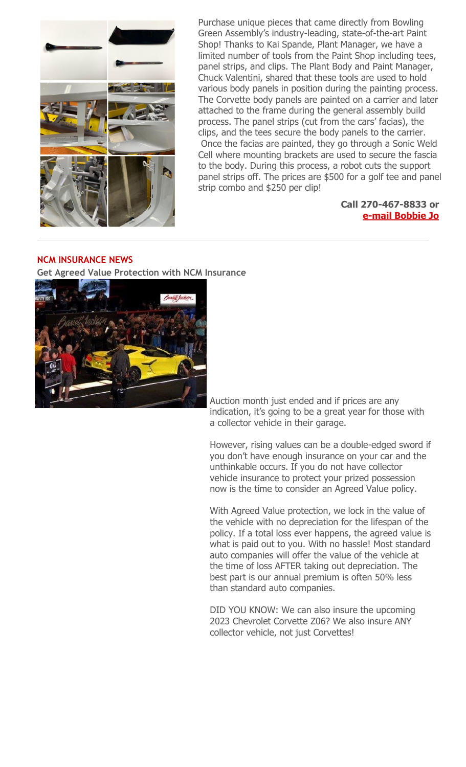

Purchase unique pieces that came directly from Bowling Green Assembly's industry-leading, state-of-the-art Paint Shop! Thanks to Kai Spande, Plant Manager, we have a limited number of tools from the Paint Shop including tees, panel strips, and clips. The Plant Body and Paint Manager, Chuck Valentini, shared that these tools are used to hold various body panels in position during the painting process. The Corvette body panels are painted on a carrier and later attached to the frame during the general assembly build process. The panel strips (cut from the cars' facias), the clips, and the tees secure the body panels to the carrier. Once the facias are painted, they go through a Sonic Weld Cell where mounting brackets are used to secure the fascia to the body. During this process, a robot cuts the support panel strips off. The prices are \$500 for a golf tee and panel strip combo and \$250 per clip!

#### **Call 270-467-8833 or [e-mail Bobbie Jo](mailto:bobbiejo@corvettemuseum.org)**

# **NCM INSURANCE NEWS**

**Get Agreed Value Protection with NCM Insurance**



Auction month just ended and if prices are any indication, it's going to be a great year for those with a collector vehicle in their garage.

However, rising values can be a double-edged sword if you don't have enough insurance on your car and the unthinkable occurs. If you do not have collector vehicle insurance to protect your prized possession now is the time to consider an Agreed Value policy.

With Agreed Value protection, we lock in the value of the vehicle with no depreciation for the lifespan of the policy. If a total loss ever happens, the agreed value is what is paid out to you. With no hassle! Most standard auto companies will offer the value of the vehicle at the time of loss AFTER taking out depreciation. The best part is our annual premium is often 50% less than standard auto companies.

DID YOU KNOW: We can also insure the upcoming 2023 Chevrolet Corvette Z06? We also insure ANY collector vehicle, not just Corvettes!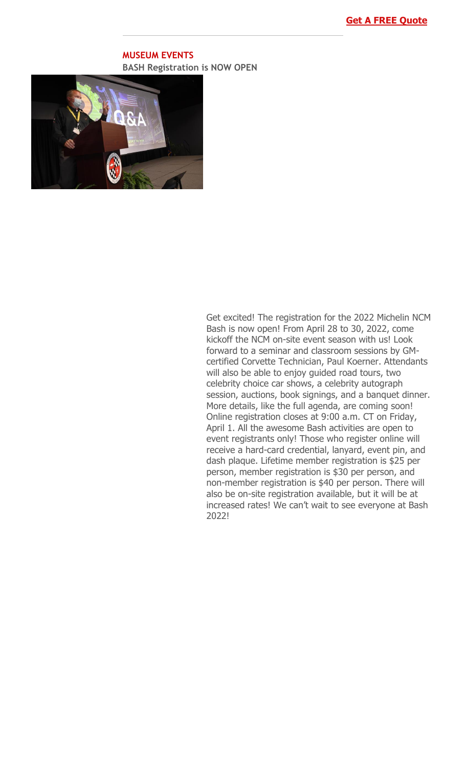### **MUSEUM EVENTS BASH Registration is NOW OPEN**



Get excited! The registration for the 2022 Michelin NCM Bash is now open! From April 28 to 30, 2022, come kickoff the NCM on-site event season with us! Look forward to a seminar and classroom sessions by GMcertified Corvette Technician, Paul Koerner. Attendants will also be able to enjoy guided road tours, two celebrity choice car shows, a celebrity autograph session, auctions, book signings, and a banquet dinner. More details, like the full agenda, are coming soon! Online registration closes at 9:00 a.m. CT on Friday, April 1. All the awesome Bash activities are open to event registrants only! Those who register online will receive a hard-card credential, lanyard, event pin, and dash plaque. Lifetime member registration is \$25 per person, member registration is \$30 per person, and non-member registration is \$40 per person. There will also be on-site registration available, but it will be at increased rates! We can't wait to see everyone at Bash 2022!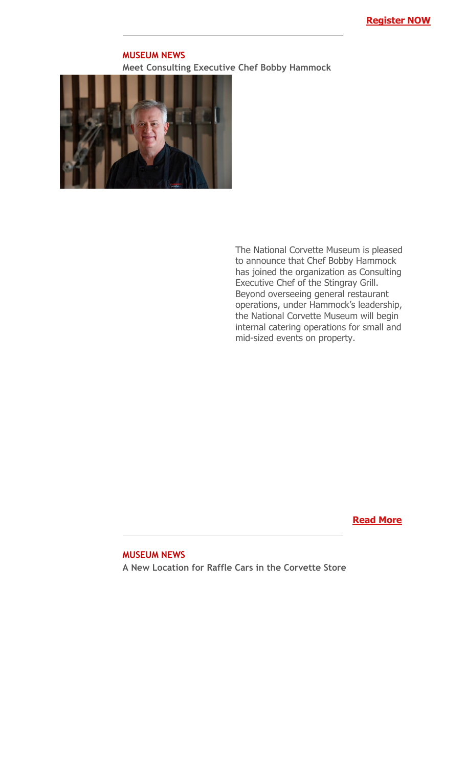#### **MUSEUM NEWS Meet Consulting Executive Chef Bobby Hammock**



The National Corvette Museum is pleased to announce that Chef Bobby Hammock has joined the organization as Consulting Executive Chef of the Stingray Grill. Beyond overseeing general restaurant operations, under Hammock's leadership, the National Corvette Museum will begin internal catering operations for small and mid-sized events on property.

# **[Read More](http://portal.criticalimpact.com/go/1/f3bff51ec7b55ed38829b83f12b66a1b/25995/5ffb50b6364ef68c3947229f28c3afba/83d9f761b5eed964a6473c7b9fa19141/25995)**

#### **MUSEUM NEWS**

**A New Location for Raffle Cars in the Corvette Store**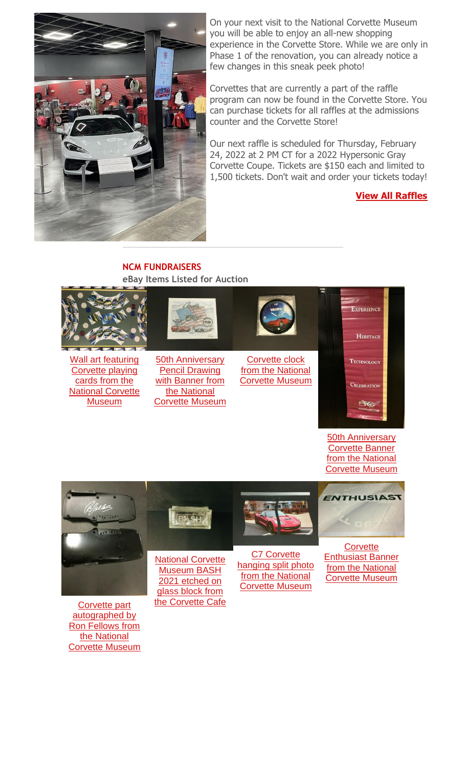

On your next visit to the National Corvette Museum you will be able to enjoy an all-new shopping experience in the Corvette Store. While we are only in Phase 1 of the renovation, you can already notice a few changes in this sneak peek photo!

Corvettes that are currently a part of the raffle program can now be found in the Corvette Store. You can purchase tickets for all raffles at the admissions counter and the Corvette Store!

Our next raffle is scheduled for Thursday, February 24, 2022 at 2 PM CT for a 2022 Hypersonic Gray Corvette Coupe. Tickets are \$150 each and limited to 1,500 tickets. Don't wait and order your tickets today!

# **[View All Raffles](http://portal.criticalimpact.com/go/1/f3bff51ec7b55ed38829b83f12b66a1b/25995/5ffb50b6364ef68c3947229f28c3afba/4434b0fe2d09c47ca6473c7b9fa19141/25995)**

### **NCM FUNDRAISERS eBay Items Listed for Auction**



[Corvette Museum](http://portal.criticalimpact.com/go/1/f3bff51ec7b55ed38829b83f12b66a1b/25995/5ffb50b6364ef68c3947229f28c3afba/99edc0aab3be4d7da6473c7b9fa19141/25995) *ENTHUSIAST* **BASH**  $\overline{\phantom{a}}$  . **Corvette** [C7 Corvette](http://portal.criticalimpact.com/go/1/f3bff51ec7b55ed38829b83f12b66a1b/25995/5ffb50b6364ef68c3947229f28c3afba/1ed667061c9a1bbfa6473c7b9fa19141/25995)  [National Corvette](http://portal.criticalimpact.com/go/1/f3bff51ec7b55ed38829b83f12b66a1b/25995/5ffb50b6364ef68c3947229f28c3afba/01bb93b937d79ed9a6473c7b9fa19141/25995)  [hanging split photo](http://portal.criticalimpact.com/go/1/f3bff51ec7b55ed38829b83f12b66a1b/25995/5ffb50b6364ef68c3947229f28c3afba/1ed667061c9a1bbfa6473c7b9fa19141/25995) 

[Museum BASH](http://portal.criticalimpact.com/go/1/f3bff51ec7b55ed38829b83f12b66a1b/25995/5ffb50b6364ef68c3947229f28c3afba/01bb93b937d79ed9a6473c7b9fa19141/25995)  [2021 etched on](http://portal.criticalimpact.com/go/1/f3bff51ec7b55ed38829b83f12b66a1b/25995/5ffb50b6364ef68c3947229f28c3afba/01bb93b937d79ed9a6473c7b9fa19141/25995)  [glass block from](http://portal.criticalimpact.com/go/1/f3bff51ec7b55ed38829b83f12b66a1b/25995/5ffb50b6364ef68c3947229f28c3afba/01bb93b937d79ed9a6473c7b9fa19141/25995)  [the Corvette Cafe](http://portal.criticalimpact.com/go/1/f3bff51ec7b55ed38829b83f12b66a1b/25995/5ffb50b6364ef68c3947229f28c3afba/01bb93b937d79ed9a6473c7b9fa19141/25995)

[from the National](http://portal.criticalimpact.com/go/1/f3bff51ec7b55ed38829b83f12b66a1b/25995/5ffb50b6364ef68c3947229f28c3afba/1ed667061c9a1bbfa6473c7b9fa19141/25995)  [Corvette Museum](http://portal.criticalimpact.com/go/1/f3bff51ec7b55ed38829b83f12b66a1b/25995/5ffb50b6364ef68c3947229f28c3afba/1ed667061c9a1bbfa6473c7b9fa19141/25995) [Enthusiast Banner](http://portal.criticalimpact.com/go/1/f3bff51ec7b55ed38829b83f12b66a1b/25995/5ffb50b6364ef68c3947229f28c3afba/9b5bd6d6ceecea0ba6473c7b9fa19141/25995)  [from the National](http://portal.criticalimpact.com/go/1/f3bff51ec7b55ed38829b83f12b66a1b/25995/5ffb50b6364ef68c3947229f28c3afba/9b5bd6d6ceecea0ba6473c7b9fa19141/25995)  [Corvette Museum](http://portal.criticalimpact.com/go/1/f3bff51ec7b55ed38829b83f12b66a1b/25995/5ffb50b6364ef68c3947229f28c3afba/9b5bd6d6ceecea0ba6473c7b9fa19141/25995)

[Corvette part](http://portal.criticalimpact.com/go/1/f3bff51ec7b55ed38829b83f12b66a1b/25995/5ffb50b6364ef68c3947229f28c3afba/9516fcbfa025b440a6473c7b9fa19141/25995)  [autographed by](http://portal.criticalimpact.com/go/1/f3bff51ec7b55ed38829b83f12b66a1b/25995/5ffb50b6364ef68c3947229f28c3afba/9516fcbfa025b440a6473c7b9fa19141/25995)  [Ron Fellows from](http://portal.criticalimpact.com/go/1/f3bff51ec7b55ed38829b83f12b66a1b/25995/5ffb50b6364ef68c3947229f28c3afba/9516fcbfa025b440a6473c7b9fa19141/25995)  [the National](http://portal.criticalimpact.com/go/1/f3bff51ec7b55ed38829b83f12b66a1b/25995/5ffb50b6364ef68c3947229f28c3afba/9516fcbfa025b440a6473c7b9fa19141/25995)  [Corvette Museum](http://portal.criticalimpact.com/go/1/f3bff51ec7b55ed38829b83f12b66a1b/25995/5ffb50b6364ef68c3947229f28c3afba/9516fcbfa025b440a6473c7b9fa19141/25995)